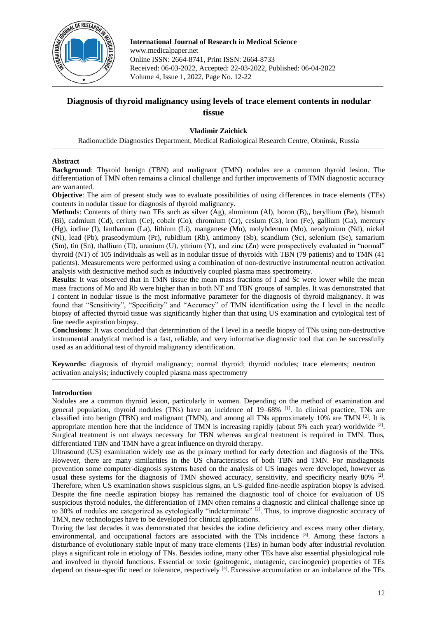

**International Journal of Research in Medical Science** www.medicalpaper.net Online ISSN: 2664-8741, Print ISSN: 2664-8733 Received: 06-03-2022, Accepted: 22-03-2022, Published: 06-04-2022 Volume 4, Issue 1, 2022, Page No. 12-22

# **Diagnosis of thyroid malignancy using levels of trace element contents in nodular tissue**

# **Vladimir Zaichick**

Radionuclide Diagnostics Department, Medical Radiological Research Centre, Obninsk, Russia

## **Abstract**

**Background**: Thyroid benign (TBN) and malignant (TMN) nodules are a common thyroid lesion. The differentiation of TMN often remains a clinical challenge and further improvements of TMN diagnostic accuracy are warranted.

**Objective**: The aim of present study was to evaluate possibilities of using differences in trace elements (TEs) contents in nodular tissue for diagnosis of thyroid malignancy.

**Method**s: Contents of thirty two TEs such as silver (Ag), aluminum (Al), boron (B),, beryllium (Be), bismuth (Bi), cadmium (Cd), cerium (Ce), cobalt (Co), chromium (Cr), cesium (Cs), iron (Fe), gallium (Ga), mercury (Hg), iodine (I), lanthanum (La), lithium (Li), manganese (Mn), molybdenum (Mo), neodymium (Nd), nickel (Ni), lead (Pb), praseodymium (Pr), rubidium (Rb), antimony (Sb), scandium (Sc), selenium (Se), samarium (Sm), tin (Sn), thallium (Tl), uranium (U), yttrium (Y), and zinc (Zn) were prospectively evaluated in "normal" thyroid (NT) of 105 individuals as well as in nodular tissue of thyroids with TBN (79 patients) and to TMN (41 patients). Measurements were performed using a combination of non-destructive instrumental neutron activation analysis with destructive method such as inductively coupled plasma mass spectrometry.

**Results**: It was observed that in TMN tissue the mean mass fractions of I and Sc were lower while the mean mass fractions of Mo and Rb were higher than in both NT and TBN groups of samples. It was demonstrated that I content in nodular tissue is the most informative parameter for the diagnosis of thyroid malignancy. It was found that "Sensitivity", "Specificity" and "Accuracy" of TMN identification using the I level in the needle biopsy of affected thyroid tissue was significantly higher than that using US examination and cytological test of fine needle aspiration biopsy.

**Conclusions**: It was concluded that determination of the I level in a needle biopsy of TNs using non-destructive instrumental analytical method is a fast, reliable, and very informative diagnostic tool that can be successfully used as an additional test of thyroid malignancy identification.

**Keywords:** diagnosis of thyroid malignancy; normal thyroid; thyroid nodules; trace elements; neutron activation analysis; inductively coupled plasma mass spectrometry

# **Introduction**

Nodules are a common thyroid lesion, particularly in women. Depending on the method of examination and general population, thyroid nodules (TNs) have an incidence of  $19-68\%$  [1]. In clinical practice, TNs are classified into benign (TBN) and malignant (TMN), and among all TNs approximately 10% are TMN  $^{[2]}$ . It is appropriate mention here that the incidence of TMN is increasing rapidly (about 5% each year) worldwide [2]. Surgical treatment is not always necessary for TBN whereas surgical treatment is required in TMN. Thus, differentiated TBN and TMN have a great influence on thyroid therapy.

Ultrasound (US) examination widely use as the primary method for early detection and diagnosis of the TNs. However, there are many similarities in the US characteristics of both TBN and TMN. For misdiagnosis prevention some computer-diagnosis systems based on the analysis of US images were developed, however as usual these systems for the diagnosis of TMN showed accuracy, sensitivity, and specificity nearly 80% <sup>[2]</sup>. Therefore, when US examination shows suspicious signs, an US-guided fine-needle aspiration biopsy is advised. Despite the fine needle aspiration biopsy has remained the diagnostic tool of choice for evaluation of US suspicious thyroid nodules, the differentiation of TMN often remains a diagnostic and clinical challenge since up to 30% of nodules are categorized as cytologically "indeterminate" [2]. Thus, to improve diagnostic accuracy of TMN, new technologies have to be developed for clinical applications.

During the last decades it was demonstrated that besides the iodine deficiency and excess many other dietary, environmental, and occupational factors are associated with the TNs incidence [3]. Among these factors a disturbance of evolutionary stable input of many trace elements (TEs) in human body after industrial revolution plays a significant role in etiology of TNs. Besides iodine, many other TEs have also essential physiological role and involved in thyroid functions. Essential or toxic (goitrogenic, mutagenic, carcinogenic) properties of TEs depend on tissue-specific need or tolerance, respectively <sup>[4]</sup>. Excessive accumulation or an imbalance of the TEs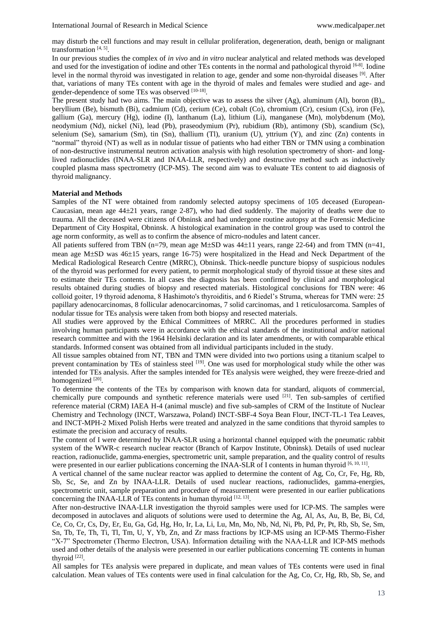may disturb the cell functions and may result in cellular proliferation, degeneration, death, benign or malignant transformation [4, 5] .

In our previous studies the complex of *in vivo* and *in vitro* nuclear analytical and related methods was developed and used for the investigation of iodine and other TEs contents in the normal and pathological thyroid [6-8]. Iodine level in the normal thyroid was investigated in relation to age, gender and some non-thyroidal diseases [9]. After that, variations of many TEs content with age in the thyroid of males and females were studied and age- and gender-dependence of some TEs was observed [10-18].

The present study had two aims. The main objective was to assess the silver (Ag), aluminum (Al), boron (B),, beryllium (Be), bismuth (Bi), cadmium (Cd), cerium (Ce), cobalt (Co), chromium (Cr), cesium (Cs), iron (Fe), gallium (Ga), mercury (Hg), iodine (I), lanthanum (La), lithium (Li), manganese (Mn), molybdenum (Mo), neodymium (Nd), nickel (Ni), lead (Pb), praseodymium (Pr), rubidium (Rb), antimony (Sb), scandium (Sc), selenium (Se), samarium (Sm), tin (Sn), thallium (Tl), uranium (U), yttrium (Y), and zinc (Zn) contents in "normal" thyroid (NT) as well as in nodular tissue of patients who had either TBN or TMN using a combination of non-destructive instrumental neutron activation analysis with high resolution spectrometry of short- and longlived radionuclides (INAA-SLR and INAA-LLR, respectively) and destructive method such as inductively coupled plasma mass spectrometry (ICP-MS). The second aim was to evaluate TEs content to aid diagnosis of thyroid malignancy.

## **Material and Methods**

Samples of the NT were obtained from randomly selected autopsy specimens of 105 deceased (European-Caucasian, mean age  $44\pm21$  years, range 2-87), who had died suddenly. The majority of deaths were due to trauma. All the deceased were citizens of Obninsk and had undergone routine autopsy at the Forensic Medicine Department of City Hospital, Obninsk. A histological examination in the control group was used to control the age norm conformity, as well as to confirm the absence of micro-nodules and latent cancer.

All patients suffered from TBN (n=79, mean age  $M\pm SD$  was 44 $\pm 11$  years, range 22-64) and from TMN (n=41, mean age M $\pm$ SD was 46 $\pm$ 15 years, range 16-75) were hospitalized in the Head and Neck Department of the Medical Radiological Research Centre (MRRC), Obninsk. Thick-needle puncture biopsy of suspicious nodules of the thyroid was performed for every patient, to permit morphological study of thyroid tissue at these sites and to estimate their TEs contents. In all cases the diagnosis has been confirmed by clinical and morphological results obtained during studies of biopsy and resected materials. Histological conclusions for TBN were: 46 colloid goiter, 19 thyroid adenoma, 8 Hashimoto's thyroiditis, and 6 Riedel's Struma, whereas for TMN were: 25 papillary adenocarcinomas, 8 follicular adenocarcinomas, 7 solid carcinomas, and 1 reticulosarcoma. Samples of nodular tissue for TEs analysis were taken from both biopsy and resected materials.

All studies were approved by the Ethical Committees of MRRC. All the procedures performed in studies involving human participants were in accordance with the ethical standards of the institutional and/or national research committee and with the 1964 Helsinki declaration and its later amendments, or with comparable ethical standards. Informed consent was obtained from all individual participants included in the study.

All tissue samples obtained from NT, TBN and TMN were divided into two portions using a titanium scalpel to prevent contamination by TEs of stainless steel [19]. One was used for morphological study while the other was intended for TEs analysis. After the samples intended for TEs analysis were weighed, they were freeze-dried and homogenized<sup>[20]</sup>.

To determine the contents of the TEs by comparison with known data for standard, aliquots of commercial, chemically pure compounds and synthetic reference materials were used  $[21]$ . Ten sub-samples of certified reference material (CRM) IAEA H-4 (animal muscle) and five sub-samples of CRM of the Institute of Nuclear Chemistry and Technology (INCT, Warszawa, Poland) INCT-SBF-4 Soya Bean Flour, INCT-TL-1 Tea Leaves, and INCT-MPH-2 Mixed Polish Herbs were treated and analyzed in the same conditions that thyroid samples to estimate the precision and accuracy of results.

The content of I were determined by INAA-SLR using a horizontal channel equipped with the pneumatic rabbit system of the WWR-c research nuclear reactor (Branch of Karpov Institute, Obninsk). Details of used nuclear reaction, radionuclide, gamma-energies, spectrometric unit, sample preparation, and the quality control of results were presented in our earlier publications concerning the INAA-SLR of I contents in human thyroid [6, 10, 11].

A vertical channel of the same nuclear reactor was applied to determine the content of Ag, Co, Cr, Fe, Hg, Rb, Sb, Sc, Se, and Zn by INAA-LLR. Details of used nuclear reactions, radionuclides, gamma-energies, spectrometric unit, sample preparation and procedure of measurement were presented in our earlier publications concerning the INAA-LLR of TEs contents in human thyroid [12, 13].

After non-destructive INAA-LLR investigation the thyroid samples were used for ICP-MS. The samples were decomposed in autoclaves and aliquots of solutions were used to determine the Ag, Al, As, Au, B, Be, Bi, Cd, Ce, Co, Cr, Cs, Dy, Er, Eu, Ga, Gd, Hg, Ho, Ir, La, Li, Lu, Mn, Mo, Nb, Nd, Ni, Pb, Pd, Pr, Pt, Rb, Sb, Se, Sm, Sn, Tb, Te, Th, Ti, Tl, Tm, U, Y, Yb, Zn, and Zr mass fractions by ICP-MS using an ICP-MS Thermo-Fisher "X-7" Spectrometer (Thermo Electron, USA). Information detailing with the NAA-LLR and ICP-MS methods used and other details of the analysis were presented in our earlier publications concerning TE contents in human thyroid  $[22]$ .

All samples for TEs analysis were prepared in duplicate, and mean values of TEs contents were used in final calculation. Mean values of TEs contents were used in final calculation for the Ag, Co, Cr, Hg, Rb, Sb, Se, and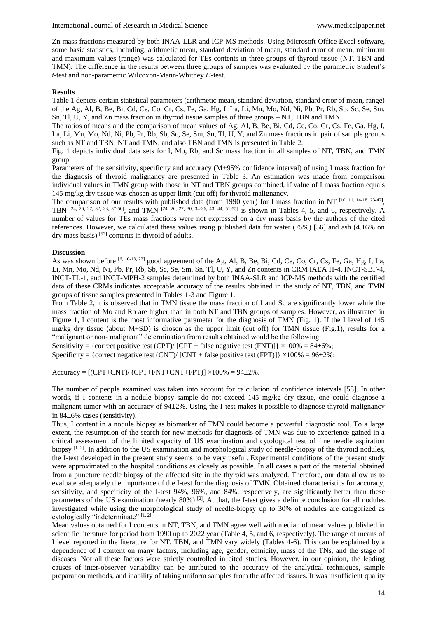Zn mass fractions measured by both INAA-LLR and ICP-MS methods. Using Microsoft Office Excel software, some basic statistics, including, arithmetic mean, standard deviation of mean, standard error of mean, minimum and maximum values (range) was calculated for TEs contents in three groups of thyroid tissue (NT, TBN and TMN). The difference in the results between three groups of samples was evaluated by the parametric Student's *t*-test and non-parametric Wilcoxon-Mann-Whitney *U*-test.

#### **Results**

Table 1 depicts certain statistical parameters (arithmetic mean, standard deviation, standard error of mean, range) of the Ag, Al, B, Be, Bi, Cd, Ce, Co, Cr, Cs, Fe, Ga, Hg, I, La, Li, Mn, Mo, Nd, Ni, Pb, Pr, Rb, Sb, Sc, Se, Sm, Sn, Tl, U, Y, and Zn mass fraction in thyroid tissue samples of three groups – NT, TBN and TMN.

The ratios of means and the comparison of mean values of Ag, Al, B, Be, Bi, Cd, Ce, Co, Cr, Cs, Fe, Ga, Hg, I, La, Li, Mn, Mo, Nd, Ni, Pb, Pr, Rb, Sb, Sc, Se, Sm, Sn, Tl, U, Y, and Zn mass fractions in pair of sample groups such as NT and TBN, NT and TMN, and also TBN and TMN is presented in Table 2.

Fig. 1 depicts individual data sets for I, Mo, Rb, and Sc mass fraction in all samples of NT, TBN, and TMN group.

Parameters of the sensitivity, specificity and accuracy (M±95% confidence interval) of using I mass fraction for the diagnosis of thyroid malignancy are presented in Table 3. An estimation was made from comparison individual values in TMN group with those in NT and TBN groups combined, if value of I mass fraction equals 145 mg/kg dry tissue was chosen as upper limit (cut off) for thyroid malignancy.

The comparison of our results with published data (from 1990 year) for I mass fraction in NT  $^{[10, 11, 14-18, 23-42]}$ , TBN [24, 26, 27, 32, 33, 37-50], and TMN [24, 26, 27, 30, 34-36, 43, 44, 51-55] is shown in Tables 4, 5, and 6, respectively. A number of values for TEs mass fractions were not expressed on a dry mass basis by the authors of the cited references. However, we calculated these values using published data for water (75%) [56] and ash (4.16% on dry mass basis) [57] contents in thyroid of adults.

## **Discussion**

As was shown before <sup>[6, 10-13, 22]</sup> good agreement of the Ag, Al, B, Be, Bi, Cd, Ce, Co, Cr, Cs, Fe, Ga, Hg, I, La, Li, Mn, Mo, Nd, Ni, Pb, Pr, Rb, Sb, Sc, Se, Sm, Sn, Tl, U, Y, and Zn contents in CRM IAEA H-4, INCT-SBF-4, INCT-TL-1, and INCT-MPH-2 samples determined by both INAA-SLR and ICP-MS methods with the certified data of these CRMs indicates acceptable accuracy of the results obtained in the study of NT, TBN, and TMN groups of tissue samples presented in Tables 1-3 and Figure 1.

From Table 2, it is observed that in TMN tissue the mass fraction of I and Sc are significantly lower while the mass fraction of Mo and Rb are higher than in both NT and TBN groups of samples. However, as illustrated in Figure 1, I content is the most informative parameter for the diagnosis of TMN (Fig. 1). If the I level of 145 mg/kg dry tissue (about M+SD) is chosen as the upper limit (cut off) for TMN tissue (Fig.1), results for a "malignant or non- malignant" determination from results obtained would be the following:

Sensitivity = {correct positive test (CPT)/ [CPT + false negative test (FNT)]}  $\times$ 100% = 84±6%;

Specificity = {correct negative test (CNT)/ [CNT + false positive test (FPT)]}  $\times$ 100% = 96±2%;

 $Accuracy = [(CPT+CNT)/(CPT+ENT+CNT+FPT)] \times 100\% = 94\pm2\%.$ 

The number of people examined was taken into account for calculation of confidence intervals [58]. In other words, if I contents in a nodule biopsy sample do not exceed 145 mg/kg dry tissue, one could diagnose a malignant tumor with an accuracy of 942%. Using the I-test makes it possible to diagnose thyroid malignancy in  $84\pm6\%$  cases (sensitivity).

Thus, I content in a nodule biopsy as biomarker of TMN could become a powerful diagnostic tool. To a large extent, the resumption of the search for new methods for diagnosis of TMN was due to experience gained in a critical assessment of the limited capacity of US examination and cytological test of fine needle aspiration biopsy  $[1, 2]$ . In addition to the US examination and morphological study of needle-biopsy of the thyroid nodules, the I-test developed in the present study seems to be very useful. Experimental conditions of the present study were approximated to the hospital conditions as closely as possible. In all cases a part of the material obtained from a puncture needle biopsy of the affected site in the thyroid was analyzed. Therefore, our data allow us to evaluate adequately the importance of the I-test for the diagnosis of TMN. Obtained characteristics for accuracy, sensitivity, and specificity of the I-test 94%, 96%, and 84%, respectively, are significantly better than these parameters of the US examination (nearly  $80\%$ ) <sup>[2]</sup>. At that, the I-test gives a definite conclusion for all nodules investigated while using the morphological study of needle-biopsy up to 30% of nodules are categorized as cytologically "indeterminate" [1, 2].

Mean values obtained for I contents in NT, TBN, and TMN agree well with median of mean values published in scientific literature for period from 1990 up to 2022 year (Table 4, 5, and 6, respectively). The range of means of I level reported in the literature for NT, TBN, and TMN vary widely (Tables 4-6). This can be explained by a dependence of I content on many factors, including age, gender, ethnicity, mass of the TNs, and the stage of diseases. Not all these factors were strictly controlled in cited studies. However, in our opinion, the leading causes of inter-observer variability can be attributed to the accuracy of the analytical techniques, sample preparation methods, and inability of taking uniform samples from the affected tissues. It was insufficient quality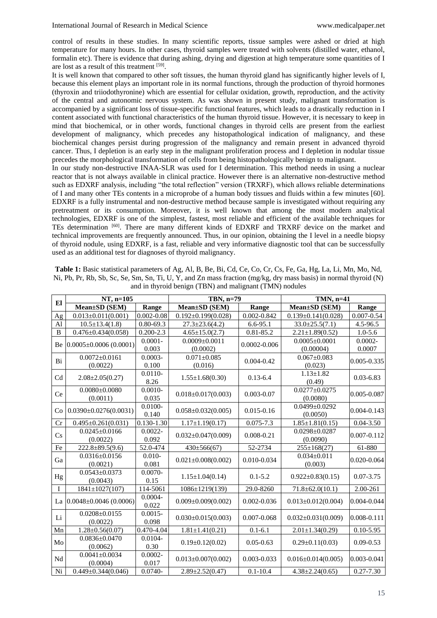control of results in these studies. In many scientific reports, tissue samples were ashed or dried at high temperature for many hours. In other cases, thyroid samples were treated with solvents (distilled water, ethanol, formalin etc). There is evidence that during ashing, drying and digestion at high temperature some quantities of I are lost as a result of this treatment [59].

It is well known that compared to other soft tissues, the human thyroid gland has significantly higher levels of I, because this element plays an important role in its normal functions, through the production of thyroid hormones (thyroxin and triiodothyronine) which are essential for cellular oxidation, growth, reproduction, and the activity of the central and autonomic nervous system. As was shown in present study, malignant transformation is accompanied by a significant loss of tissue-specific functional features, which leads to a drastically reduction in I content associated with functional characteristics of the human thyroid tissue. However, it is necessary to keep in mind that biochemical, or in other words, functional changes in thyroid cells are present from the earliest development of malignancy, which precedes any histopathological indication of malignancy, and these biochemical changes persist during progression of the malignancy and remain present in advanced thyroid cancer. Thus, I depletion is an early step in the malignant proliferation process and I depletion in nodular tissue precedes the morphological transformation of cells from being histopathologically benign to malignant.

In our study non-destructive INAA-SLR was used for I determination. This method needs in using a nuclear reactor that is not always available in clinical practice. However there is an alternative non-destructive method such as EDXRF analysis, including "the total reflection" version (TRXRF), which allows reliable determinations of I and many other TEs contents in a microprobe of a human body tissues and fluids within a few minutes [60]. EDXRF is a fully instrumental and non-destructive method because sample is investigated without requiring any pretreatment or its consumption. Moreover, it is well known that among the most modern analytical technologies, EDXRF is one of the simplest, fastest, most reliable and efficient of the available techniques for TEs determination [60]. There are many different kinds of EDXRF and TRXRF device on the market and technical improvements are frequently announced. Thus, in our opinion, obtaining the I level in a needle biopsy of thyroid nodule, using EDXRF, is a fast, reliable and very informative diagnostic tool that can be successfully used as an additional test for diagnoses of thyroid malignancy.

| <b>Table 1:</b> Basic statistical parameters of Ag, Al, B, Be, Bi, Cd, Ce, Co, Cr, Cs, Fe, Ga, Hg, La, Li, Mn, Mo, Nd, |
|------------------------------------------------------------------------------------------------------------------------|
| Ni, Pb, Pr, Rb, Sb, Sc, Se, Sm, Sn, Ti, U, Y, and Zn mass fraction $(mg/kg, dry mass basis)$ in normal thyroid (N)     |
| and in thyroid benign (TBN) and malignant (TMN) nodules                                                                |

|                | NT, n=105                       |                     | TBN, n=79                       |                  | TMN, n=41                        |                      |  |
|----------------|---------------------------------|---------------------|---------------------------------|------------------|----------------------------------|----------------------|--|
| El             | Mean±SD (SEM)                   | Range               | Mean±SD (SEM)                   | Range            | Mean±SD (SEM)                    | Range                |  |
| Ag             | $0.013 \pm 0.011(0.001)$        | $0.002 - 0.08$      | $0.192 \pm 0.199(0.028)$        | 0.002-0.842      | $0.139 \pm 0.141(0.028)$         | $0.007 - 0.54$       |  |
| Al             | $10.5 \pm 13.4(1.8)$            | $0.80 - 69.3$       | $27.3 \pm 23.6(4.2)$            | $6.6 - 95.1$     | $33.0 \pm 25.5(7.1)$             | 4.5-96.5             |  |
| $\overline{B}$ | $0.476 \pm 0.434(0.058)$        | $0.200 - 2.3$       | $4.65 \pm 15.0(2.7)$            | 0.81-85.2        | $2.21 \pm 1.89(0.52)$            | $1.0 - 5.6$          |  |
| Be             | $0.0005 \pm 0.0006$ (0.0001)    | $0.0001 -$<br>0.003 | $0.0009 \pm 0.0011$<br>(0.0002) | $0.0002 - 0.006$ | $0.0005 \pm 0.0001$<br>(0.00004) | $0.0002 -$<br>0.0007 |  |
| Bi             | $0.0072 \pm 0.0161$<br>(0.0022) | $0.0003 -$<br>0.100 | $0.071 \pm 0.085$<br>(0.016)    | $0.004 - 0.42$   | $0.067 \pm 0.083$<br>(0.023)     | 0.005-0.335          |  |
| Cd             | $2.08 \pm 2.05(0.27)$           | $0.0110 -$<br>8.26  | $1.55 \pm 1.68(0.30)$           | $0.13 - 6.4$     | $1.13 \pm 1.82$<br>(0.49)        | $0.03 - 6.83$        |  |
| Ce             | $0.0080 \pm 0.0080$<br>(0.0011) | $0.0010 -$<br>0.035 | $0.018 \pm 0.017(0.003)$        | $0.003 - 0.07$   | $0.0277 \pm 0.0275$<br>(0.0080)  | 0.005-0.087          |  |
| Co             | $0.0390 \pm 0.0276(0.0031)$     | $0.0100 -$<br>0.140 | $0.058 \pm 0.032(0.005)$        | $0.015 - 0.16$   | $0.0499 + 0.0292$<br>(0.0050)    | $0.004 - 0.143$      |  |
| Cr             | $0.495 \pm 0.261(0.031)$        | $0.130 - 1.30$      | $1.17 \pm 1.19(0.17)$           | $0.075 - 7.3$    | $1.85 \pm 1.81(0.15)$            | $0.04 - 3.50$        |  |
| Cs             | $0.0245 \pm 0.0166$<br>(0.0022) | $0.0022 -$<br>0.092 | $0.032 \pm 0.047(0.009)$        | $0.008 - 0.21$   | $0.0298 \pm 0.0287$<br>(0.0090)  | 0.007-0.112          |  |
| Fe             | $222.8 \pm 89.5(9.6)$           | 52.0-474            | $430 \pm 566(67)$               | 52-2734          | $255 \pm 168(27)$                | 61-880               |  |
| Ga             | $0.0316 \pm 0.0156$<br>(0.0021) | $0.010 -$<br>0.081  | $0.021 \pm 0.008(0.002)$        | $0.010 - 0.034$  | $0.034 \pm 0.011$<br>(0.003)     | $0.020 - 0.064$      |  |
| Hg             | $0.0543 \pm 0.0373$<br>(0.0043) | $0.0070 -$<br>0.15  | $1.15 \pm 1.04(0.14)$           | $0.1 - 5.2$      | $0.922 \pm 0.83(0.15)$           | $0.07 - 3.75$        |  |
| I              | $1841 \pm 1027(107)$            | 114-5061            | $1086 \pm 1219(139)$            | 29.0-8260        | $71.8 \pm 62.0(10.1)$            | 2.00-261             |  |
| La             | $0.0048 \pm 0.0046$ (0.0006)    | $0.0004 -$<br>0.022 | $0.009 \pm 0.009(0.002)$        | $0.002 - 0.036$  | $0.013 \pm 0.012(0.004)$         | 0.004-0.044          |  |
| Li             | $0.0208 \pm 0.0155$<br>(0.0022) | $0.0015 -$<br>0.098 | $0.030 \pm 0.015(0.003)$        | $0.007 - 0.068$  | $0.032 \pm 0.031(0.009)$         | 0.008-0.111          |  |
| Mn             | $1.28 \pm 0.56(0.07)$           | 0.470-4.04          | $1.81 \pm 1.41(0.21)$           | $0.1 - 6.1$      | $2.01 \pm 1.34(0.29)$            | $0.10 - 5.95$        |  |
| Mo             | $0.0836 \pm 0.0470$<br>(0.0062) | 0.0104-<br>0.30     | $0.19 \pm 0.12(0.02)$           | $0.05 - 0.63$    | $0.29 \pm 0.11(0.03)$            | $0.09 - 0.53$        |  |
| Nd             | $0.0041 \pm 0.0034$<br>(0.0004) | $0.0002 -$<br>0.017 | $0.013 \pm 0.007(0.002)$        | $0.003 - 0.033$  | $0.016 \pm 0.014(0.005)$         | 0.003-0.041          |  |
| Ni             | $0.449 \pm 0.344(0.046)$        | $0.0740 -$          | $2.89 \pm 2.52(0.47)$           | $0.1 - 10.4$     | $4.38 \pm 2.24(0.65)$            | $0.27 - 7.30$        |  |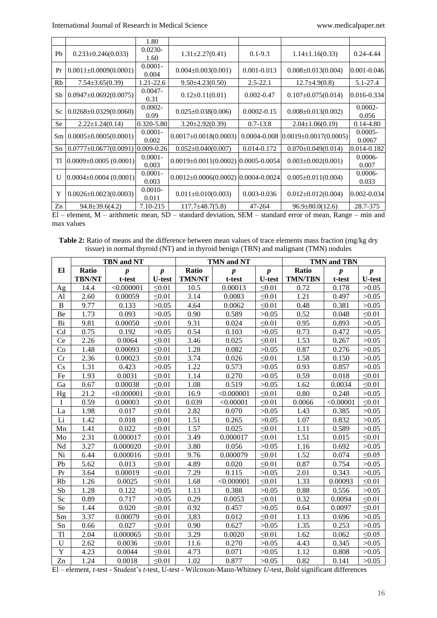|           |                               | 1.80                |                                           |                 |                             |                      |
|-----------|-------------------------------|---------------------|-------------------------------------------|-----------------|-----------------------------|----------------------|
| Pb        | $0.233 \pm 0.246(0.033)$      | $0.0230 -$<br>1.60  | $1.31 \pm 2.27(0.41)$                     | $0.1 - 9.3$     | $1.14 \pm 1.16(0.33)$       | $0.24 - 4.44$        |
| Pr        | $0.0011 \pm 0.0009(0.0001)$   | $0.0001 -$<br>0.004 | $0.004 \pm 0.003(0.001)$                  | $0.001 - 0.013$ | $0.008 \pm 0.013(0.004)$    | $0.001 - 0.046$      |
| Rb        | $7.54 \pm 3.65(0.39)$         | 1.21-22.6           | $9.50 \pm 4.23(0.50)$                     | $2.5 - 22.1$    | $12.7\pm4.9(0.8)$           | 5.1-27.4             |
| Sb        | $0.0947 \pm 0.0692(0.0075)$   | $0.0047 -$<br>0.31  | $0.12 \pm 0.11(0.01)$                     | $0.002 - 0.47$  | $0.107 \pm 0.075(0.014)$    | $0.016 - 0.334$      |
| Sc        | $0.0268 \pm 0.0329(0.0060)$   | $0.0002 -$<br>0.09  | $0.025 \pm 0.038(0.006)$                  | $0.0002 - 0.15$ | $0.008 \pm 0.013(0.002)$    | $0.0002 -$<br>0.056  |
| <b>Se</b> | $2.22 \pm 1.24(0.14)$         | 0.320-5.80          | $3.20 \pm 2.92(0.39)$                     | $0.7 - 13.8$    | $2.04 \pm 1.06(0.19)$       | $0.14 - 4.80$        |
| Sm        | $0.0005 \pm 0.0005(0.0001)$   | $0.0001 -$<br>0.002 | $0.0017 \pm 0.0018(0.0003)$               | 0.0004-0.008    | $0.0019 \pm 0.0017(0.0005)$ | $0.0005 -$<br>0.0067 |
| Sn        | $0.0777 \pm 0.0677(0.0091)$   | $0.009 - 0.26$      | $0.052 \pm 0.040(0.007)$                  | 0.014-0.172     | $0.070\pm0.049(0.014)$      | 0.014-0.182          |
| Tl        | $[0.0009 \pm 0.0005(0.0001)]$ | $0.0001 -$<br>0.003 | $0.0019 \pm 0.0011(0.0002)$ 0.0005-0.0054 |                 | $0.003 \pm 0.002(0.001)$    | $0.0006 -$<br>0.007  |
| U         | $(0.0004 \pm 0.0004)$         | $0.0001 -$<br>0.003 | $0.0012 \pm 0.0006(0.0002)$ 0.0004-0.0024 |                 | $0.005 \pm 0.011(0.004)$    | $0.0006 -$<br>0.033  |
| Y         | $0.0026 \pm 0.0023(0.0003)$   | $0.0010 -$<br>0.011 | $0.011 \pm 0.010(0.003)$                  | $0.003 - 0.036$ | $0.012 \pm 0.012(0.004)$    | $0.002 - 0.034$      |
| Zn        | $94.8 \pm 39.6(4.2)$          | 7.10-215            | $117.7 \pm 48.7(5.8)$                     | 47-264          | $96.9 \pm 80.0(12.6)$       | 28.7-375             |

El – element, M – arithmetic mean, SD – standard deviation, SEM – standard error of mean, Range – min and max values

**Table 2:** Ratio of means and the difference between mean values of trace elements mass fraction (mg/kg dry tissue) in normal thyroid (NT) and in thyroid benign (TBN) and malignant (TMN) nodules

|                        | <b>TBN</b> and NT |                  |                  |               | <b>TMN and NT</b> |                  | <b>TMN and TBN</b> |                  |                  |  |
|------------------------|-------------------|------------------|------------------|---------------|-------------------|------------------|--------------------|------------------|------------------|--|
| El                     | Ratio             | $\boldsymbol{p}$ | $\boldsymbol{p}$ | Ratio         | $\boldsymbol{p}$  | $\boldsymbol{p}$ | Ratio              | $\boldsymbol{p}$ | $\boldsymbol{p}$ |  |
|                        | <b>TBN/NT</b>     | t-test           | <b>U-test</b>    | <b>TMN/NT</b> | t-test            | <b>U-test</b>    | <b>TMN/TBN</b>     | t-test           | <b>U-test</b>    |  |
| Ag                     | 14.4              | < 0.000001       | $\leq 0.01$      | 10.5          | 0.00013           | $\leq 0.01$      | 0.72               | 0.178            | >0.05            |  |
| Al                     | 2.60              | 0.00059          | $\leq 0.01$      | 3.14          | 0.0083            | $\leq 0.01$      | 1.21               | 0.497            | >0.05            |  |
| $\, {\bf B}$           | 9.77              | 0.133            | >0.05            | 4.64          | 0.0062            | $\leq 0.01$      | 0.48               | 0.381            | >0.05            |  |
| Be                     | 1.73              | 0.093            | >0.05            | 0.90          | 0.589             | >0.05            | 0.52               | 0.048            | $\leq 0.01$      |  |
| Bi                     | 9.81              | 0.00050          | $\leq 0.01$      | 9.31          | 0.024             | $\leq 0.01$      | 0.95               | 0.893            | >0.05            |  |
| Cd                     | 0.75              | 0.192            | >0.05            | 0.54          | 0.103             | >0.05            | 0.73               | 0.472            | >0.05            |  |
| Ce                     | 2.26              | 0.0064           | $\leq 0.01$      | 3.46          | 0.025             | $\leq 0.01$      | 1.53               | 0.267            | >0.05            |  |
| Co                     | 1.48              | 0.00093          | $\leq 0.01$      | 1.28          | 0.082             | >0.05            | 0.87               | 0.276            | >0.05            |  |
| Cr                     | 2.36              | 0.00023          | $\leq 0.01$      | 3.74          | 0.026             | $\leq 0.01$      | 1.58               | 0.150            | >0.05            |  |
| $\mathbf{C}\mathbf{s}$ | 1.31              | 0.423            | >0.05            | 1.22          | 0.573             | >0.05            | 0.93               | 0.857            | >0.05            |  |
| Fe                     | 1.93              | 0.0031           | $\leq 0.01$      | 1.14          | 0.270             | >0.05            | 0.59               | 0.018            | $\leq 0.01$      |  |
| Ga                     | 0.67              | 0.00038          | $\leq 0.01$      | 1.08          | 0.519             | >0.05            | 1.62               | 0.0034           | $\leq 0.01$      |  |
| Hg                     | 21.2              | < 0.000001       | $\leq 0.01$      | 16.9          | < 0.000001        | $\leq 0.01$      | 0.80               | 0.248            | >0.05            |  |
| $\mathbf I$            | 0.59              | 0.00003          | $\leq 0.01$      | 0.039         | < 0.00001         | $\leq 0.01$      | 0.0066             | < 0.00001        | $\leq 0.01$      |  |
| La                     | 1.98              | 0.017            | $\leq 0.01$      | 2.82          | 0.070             | >0.05            | 1.43               | 0.385            | >0.05            |  |
| Li                     | 1.42              | 0.018            | $\leq 0.01$      | 1.51          | 0.265             | >0.05            | 1.07               | 0.832            | >0.05            |  |
| Mn                     | 1.41              | 0.022            | $\leq 0.01$      | 1.57          | 0.025             | $\leq 0.01$      | 1.11               | 0.589            | >0.05            |  |
| Mo                     | 2.31              | 0.000017         | $\leq 0.01$      | 3.49          | 0.000017          | $\leq 0.01$      | 1.51               | 0.015            | $\leq 0.01$      |  |
| Nd                     | 3.27              | 0.000020         | $\leq 0.01$      | 3.80          | 0.056             | >0.05            | 1.16               | 0.692            | >0.05            |  |
| Ni                     | 6.44              | 0.000016         | $\leq 0.01$      | 9.76          | 0.000079          | $\leq 0.01$      | 1.52               | 0.074            | $\leq 0.05$      |  |
| Pb                     | 5.62              | 0.013            | $\leq 0.01$      | 4.89          | 0.020             | $\leq 0.01$      | 0.87               | 0.754            | >0.05            |  |
| Pr                     | 3.64              | 0.00019          | $\leq 0.01$      | 7.29          | 0.115             | >0.05            | 2.01               | 0.343            | >0.05            |  |
| Rb                     | 1.26              | 0.0025           | < 0.01           | 1.68          | < 0.000001        | $\leq 0.01$      | 1.33               | 0.00093          | < 0.01           |  |
| Sb                     | 1.28              | 0.122            | >0.05            | 1.13          | 0.388             | >0.05            | 0.88               | 0.556            | >0.05            |  |
| Sc                     | 0.89              | 0.717            | >0.05            | 0.29          | 0.0053            | $\leq 0.01$      | 0.32               | 0.0094           | $\leq 0.01$      |  |
| Se                     | 1.44              | 0.020            | $\leq 0.01$      | 0.92          | 0.457             | >0.05            | 0.64               | 0.0097           | $\leq 0.01$      |  |
| Sm                     | 3.37              | 0.00079          | $\leq 0.01$      | 3,83          | 0.012             | $\leq 0.01$      | 1.13               | 0.696            | >0.05            |  |
| Sn                     | 0.66              | 0.027            | $\leq 0.01$      | 0.90          | 0.627             | >0.05            | 1.35               | 0.253            | >0.05            |  |
| Tl                     | 2.04              | 0.000065         | $\leq 0.01$      | 3.29          | 0.0020            | $\leq 0.01$      | 1.62               | 0.062            | $\leq 0.05$      |  |
| U                      | 2.62              | 0.0036           | $\leq 0.01$      | 11.6          | 0.270             | >0.05            | 4.43               | 0.345            | >0.05            |  |
| Y                      | 4.23              | 0.0044           | $\leq 0.01$      | 4.73          | 0.071             | >0.05            | 1.12               | 0.808            | >0.05            |  |
| Zn                     | 1.24              | 0.0018           | $\leq 0.01$      | 1.02          | 0.877             | >0.05            | 0.82               | 0.141            | >0.05            |  |

El – element, *t*-test - Student's *t*-test, U-test - Wilcoxon-Mann-Whitney *U*-test, Bold significant differences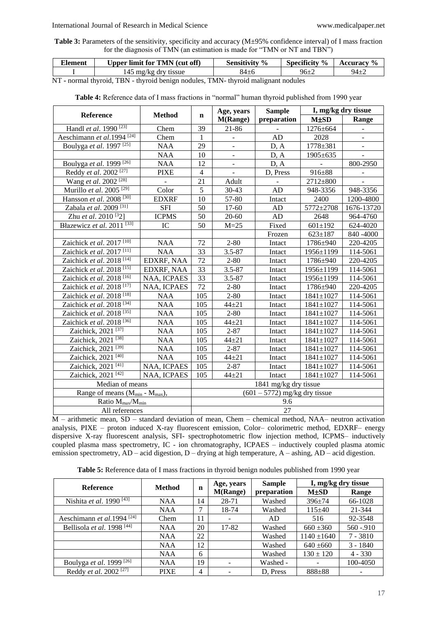**Table 3:** Parameters of the sensitivity, specificity and accuracy (M±95% confidence interval) of I mass fraction for the diagnosis of TMN (an estimation is made for "TMN or NT and TBN")

| --<br>Element | Upper limit for TMN (cut off) | Sensitivity % | Specificity<br>$\frac{6}{6}$ | cemraev  |
|---------------|-------------------------------|---------------|------------------------------|----------|
|               | i mg/kg drv tissue            | $84 \pm 6$    | 96±2                         | $94 + 7$ |

NT **-** normal thyroid, TBN - thyroid benign nodules, TMN- thyroid malignant nodules

| <b>Reference</b>                                       | <b>Method</b>     |                 | Age, years        | <b>Sample</b>                   | I, mg/kg dry tissue |            |  |
|--------------------------------------------------------|-------------------|-----------------|-------------------|---------------------------------|---------------------|------------|--|
|                                                        |                   | $\mathbf n$     | <b>M(Range)</b>   | preparation                     | <b>M±SD</b>         | Range      |  |
| Handl et al. 1990 <sup>[23]</sup>                      | Chem              | 39              | 21-86             |                                 | 1276±664            |            |  |
| Aeschimann et al.1994 <sup>[24]</sup>                  | Chem              | $\mathbf{1}$    |                   | AD                              | 2028                |            |  |
| Boulyga et al. 1997 <sup>[25]</sup>                    | <b>NAA</b>        | 29              |                   | D, A                            | 1778±381            |            |  |
|                                                        | <b>NAA</b>        | 10              | $\blacksquare$    | D, A                            | 1905±635            |            |  |
| Boulyga et al. 1999 <sup>[26]</sup>                    | <b>NAA</b>        | 12              | $\qquad \qquad -$ | D, A                            |                     | 800-2950   |  |
| Reddy et al. 2002 <sup>[27]</sup>                      | <b>PIXE</b>       | $\overline{4}$  | $\blacksquare$    | D, Press                        | 916±88              |            |  |
| Wang et al. 2002 <sup>[28]</sup>                       |                   | 21              | Adult             |                                 | 2712±800            |            |  |
| Murillo et al. 2005 <sup>[29]</sup>                    | Color             | 5               | 30-43             | AD                              | 948-3356            | 948-3356   |  |
| Hansson et al. 2008 <sup>[30]</sup>                    | <b>EDXRF</b>      | 10              | 57-80             | Intact                          | 2400                | 1200-4800  |  |
| Zabala et al. 2009 <sup>[31]</sup>                     | <b>SFI</b>        | 50              | 17-60             | AD                              | 5772±2708           | 1676-13720 |  |
| Zhu et al. 2010 <sup>[3</sup> 2]                       | <b>ICPMS</b>      | 50              | 20-60             | AD                              | 2648                | 964-4760   |  |
| Błazewicz et al. 2011 <sup>[33]</sup>                  | IC                | 50              | $M = 25$          | Fixed                           | $601 \pm 192$       | 624-4020   |  |
|                                                        |                   |                 |                   | Frozen                          | $623 \pm 187$       | 840 - 4000 |  |
| Zaichick et al. 2017 <sup>[10]</sup>                   | <b>NAA</b>        | 72              | $2 - 80$          | Intact                          | 1786±940            | 220-4205   |  |
| Zaichick et al. 2017 <sup>[11]</sup>                   | <b>NAA</b>        | $\overline{33}$ | $3.5 - 87$        | Intact                          | 1956±1199           | 114-5061   |  |
| Zaichick et al. 2018 <sup>[14]</sup>                   | <b>EDXRF, NAA</b> | 72              | $2 - 80$          | Intact                          | 1786±940            | 220-4205   |  |
| Zaichick et al. 2018 <sup>[15]</sup>                   | <b>EDXRF, NAA</b> | $\overline{33}$ | $3.5 - 87$        | Intact                          | 1956±1199           | 114-5061   |  |
| Zaichick et al. 2018 <sup>[16]</sup>                   | NAA, ICPAES       | 33              | $3.5 - 87$        | Intact                          | 1956±1199           | 114-5061   |  |
| Zaichick et al. 2018 <sup>[17]</sup>                   | NAA, ICPAES       | 72              | $2 - 80$          | Intact                          | 1786±940            | 220-4205   |  |
| Zaichick et al. 2018 <sup>[18]</sup>                   | <b>NAA</b>        | 105             | $2 - 80$          | Intact                          | 1841±1027           | 114-5061   |  |
| Zaichick et al. 2018 <sup>[34]</sup>                   | <b>NAA</b>        | 105             | $44 + 21$         | Intact                          | $1841 \pm 1027$     | 114-5061   |  |
| Zaichick et al. 2018 <sup>[35]</sup>                   | <b>NAA</b>        | 105             | $2 - 80$          | Intact                          | $1841 \pm 1027$     | 114-5061   |  |
| Zaichick et al. 2018 <sup>[36]</sup>                   | <b>NAA</b>        | 105             | $44 + 21$         | Intact                          | $1841 \pm 1027$     | 114-5061   |  |
| Zaichick, 2021 <sup>[37]</sup>                         | <b>NAA</b>        | 105             | $2 - 87$          | Intact                          | $1841 \pm 1027$     | 114-5061   |  |
| Zaichick, $202\overline{1^{[38]}}$                     | <b>NAA</b>        | 105             | $44 + 21$         | Intact                          | $1841 \pm 1027$     | 114-5061   |  |
| Zaichick, 2021 <sup>[39]</sup>                         | <b>NAA</b>        | 105             | $2 - 87$          | Intact                          | $1841 \pm 1027$     | 114-5061   |  |
| Zaichick, 2021 <sup>[40]</sup>                         | <b>NAA</b>        | 105             | $44 + 21$         | Intact                          | $1841 \pm 1027$     | 114-5061   |  |
| Zaichick, 2021 <sup>[41]</sup>                         | NAA, ICPAES       | 105             | $2 - 87$          | Intact                          | $1841 \pm 1027$     | 114-5061   |  |
| Zaichick, 2021 $\overline{[42]}$                       | NAA, ICPAES       | 105             | $44 + 21$         | Intact                          | $1841 \pm 1027$     | 114-5061   |  |
| Median of means                                        |                   |                 |                   | 1841 mg/kg dry tissue           |                     |            |  |
| Range of means (M <sub>min</sub> - M <sub>max</sub> ), |                   |                 |                   | $(601 - 5772)$ mg/kg dry tissue |                     |            |  |
| Ratio M <sub>max</sub> /M <sub>min</sub>               |                   | 9.6             |                   |                                 |                     |            |  |
| All references                                         |                   | 27              |                   |                                 |                     |            |  |

**Table 4:** Reference data of I mass fractions in "normal" human thyroid published from 1990 year

M – arithmetic mean, SD – standard deviation of mean, Chem – chemical method, NAA– neutron activation analysis, PIXE – proton induced X-ray fluorescent emission, Color– colorimetric method, EDXRF– energy dispersive X-ray fluorescent analysis, SFI- spectrophotometric flow injection method, ICPMS– inductively coupled plasma mass spectrometry, IC - ion chromatography, ICPAES – inductively coupled plasma atomic emission spectrometry, AD – acid digestion, D – drying at high temperature, A – ashing, AD – acid digestion.

**Table 5:** Reference data of I mass fractions in thyroid benign nodules published from 1990 year

|                                       |             |                    | Age, years      | <b>Sample</b> | I, mg/kg dry tissue |             |
|---------------------------------------|-------------|--------------------|-----------------|---------------|---------------------|-------------|
| <b>Reference</b>                      |             | <b>Method</b><br>n | <b>M(Range)</b> | preparation   | <b>M±SD</b>         | Range       |
| Nishita et al. 1990 <sup>[43]</sup>   | NAA         | 14                 | 28-71           | Washed        | $396 \pm 74$        | 66-1028     |
|                                       | NAA         | 7                  | 18-74           | Washed        | $115+40$            | 21-344      |
| Aeschimann et al.1994 <sup>[24]</sup> | Chem        | 11                 |                 | AD            | 516                 | 92-3548     |
| Bellisola et al. 1998 [44]            | NAA         | 20                 | 17-82           | Washed        | $660 \pm 360$       | $560 - 910$ |
|                                       | NAA         | 22                 |                 | Washed        | $1140 \pm 1640$     | $7 - 3810$  |
|                                       | <b>NAA</b>  | 12                 |                 | Washed        | $640 \pm 660$       | $3 - 1840$  |
|                                       | <b>NAA</b>  | 6                  |                 | Washed        | $130 \pm 120$       | $4 - 330$   |
| Boulyga et al. 1999 <sup>[26]</sup>   | <b>NAA</b>  | 19                 |                 | Washed -      |                     | 100-4050    |
| Reddy et al. 2002 <sup>[27]</sup>     | <b>PIXE</b> | 4                  |                 | D. Press      | $888 + 88$          |             |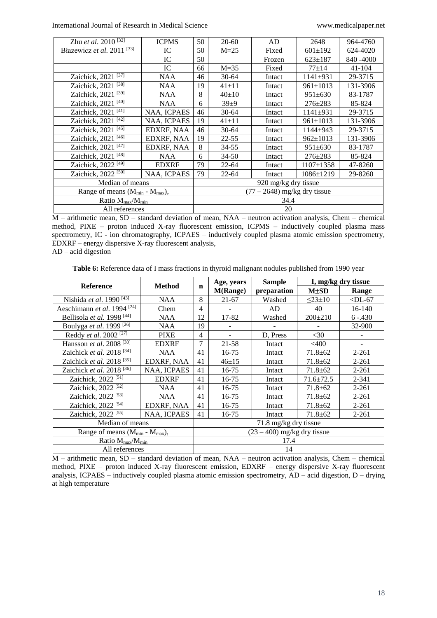| Zhu et al. 2010 <sup>[32]</sup>        | <b>ICPMS</b> | 50   | $20 - 60$                    | AD     | 2648            | 964-4760   |  |  |
|----------------------------------------|--------------|------|------------------------------|--------|-----------------|------------|--|--|
| Błazewicz et al. 2011 <sup>[33]</sup>  | IC           | 50   | $M=25$                       | Fixed  | $601 \pm 192$   | 624-4020   |  |  |
|                                        | IC           | 50   |                              | Frozen | $623 \pm 187$   | 840 - 4000 |  |  |
|                                        | IC           | 66   | $M=35$                       | Fixed  | $77 + 14$       | $41 - 104$ |  |  |
| Zaichick, 2021 <sup>[37]</sup>         | <b>NAA</b>   | 46   | $30 - 64$                    | Intact | $1141 \pm 931$  | 29-3715    |  |  |
| Zaichick, 2021 <sup>[38]</sup>         | <b>NAA</b>   | 19   | $41 \pm 11$                  | Intact | $961 \pm 1013$  | 131-3906   |  |  |
| Zaichick, 2021 <sup>[39]</sup>         | <b>NAA</b>   | 8    | $40+10$                      | Intact | $951 \pm 630$   | 83-1787    |  |  |
| Zaichick, 2021 <sup>[40]</sup>         | <b>NAA</b>   | 6    | $39+9$                       | Intact | $276 \pm 283$   | 85-824     |  |  |
| Zaichick, 2021 <sup>[41]</sup>         | NAA, ICPAES  | 46   | $30 - 64$                    | Intact | $1141 \pm 931$  | 29-3715    |  |  |
| Zaichick, 2021 <sup>[42]</sup>         | NAA, ICPAES  | 19   | $41 \pm 11$                  | Intact | $961 \pm 1013$  | 131-3906   |  |  |
| Zaichick, 2021 <sup>[45]</sup>         | EDXRF, NAA   | 46   | $30 - 64$                    | Intact | $1144 + 943$    | 29-3715    |  |  |
| Zaichick, 2021 <sup>[46]</sup>         | EDXRF. NAA   | 19   | $22 - 55$                    | Intact | $962 \pm 1013$  | 131-3906   |  |  |
| Zaichick, 2021 <sup>[47]</sup>         | EDXRF, NAA   | 8    | 34-55                        | Intact | $951 \pm 630$   | 83-1787    |  |  |
| Zaichick, 2021 <sup>[48]</sup>         | <b>NAA</b>   | 6    | $34 - 50$                    | Intact | $276 \pm 283$   | 85-824     |  |  |
| Zaichick, 2022 <sup>[49]</sup>         | <b>EDXRF</b> | 79   | $22 - 64$                    | Intact | $1107 \pm 1358$ | 47-8260    |  |  |
| Zaichick, 2022 <sup>[50]</sup>         | NAA, ICPAES  | 79   | $22 - 64$                    | Intact | $1086 \pm 1219$ | 29-8260    |  |  |
| Median of means                        |              |      | 920 mg/kg dry tissue         |        |                 |            |  |  |
| Range of means $(M_{min} - M_{max})$ , |              |      | $(77-2648)$ mg/kg dry tissue |        |                 |            |  |  |
| Ratio $M_{\text{max}}/M_{\text{min}}$  |              | 34.4 |                              |        |                 |            |  |  |
| All references                         |              | 20   |                              |        |                 |            |  |  |

M – arithmetic mean, SD – standard deviation of mean, NAA – neutron activation analysis, Chem – chemical method, PIXE – proton induced X-ray fluorescent emission, ICPMS – inductively coupled plasma mass spectrometry, IC - ion chromatography, ICPAES – inductively coupled plasma atomic emission spectrometry, EDXRF – energy dispersive X-ray fluorescent analysis,

AD – acid digestion

**Table 6:** Reference data of I mass fractions in thyroid malignant nodules published from 1990 year

| <b>Reference</b>                          | <b>Method</b> |      | Age, years                    | <b>Sample</b> | I, mg/kg dry tissue |            |  |  |
|-------------------------------------------|---------------|------|-------------------------------|---------------|---------------------|------------|--|--|
|                                           |               | n    | <b>M(Range)</b>               | preparation   | <b>M±SD</b>         | Range      |  |  |
| Nishida et al. 1990 <sup>[43]</sup>       | NAA           | 8    | $21 - 67$                     | Washed        | $23 \pm 10$         | $<$ DL-67  |  |  |
| Aeschimann et al. 1994 <sup>[24]</sup>    | Chem          | 4    |                               | AD            | 40                  | 16-140     |  |  |
| Bellisola et al. 1998 <sup>[44]</sup>     | NAA           | 12   | 17-82                         | Washed        | $200 \pm 210$       | $6 - .430$ |  |  |
| Boulyga et al. 1999 <sup>[26]</sup>       | <b>NAA</b>    | 19   |                               |               |                     | 32-900     |  |  |
| Reddy et al. 2002 <sup>[27]</sup>         | <b>PIXE</b>   | 4    |                               | D. Press      | $<$ 30              |            |  |  |
| Hansson et al. 2008 <sup>[30]</sup>       | <b>EDXRF</b>  | 7    | 21-58                         | Intact        | $<$ 400             |            |  |  |
| Zaichick et al. 2018 <sup>[34]</sup>      | <b>NAA</b>    | 41   | 16-75                         | Intact        | $71.8 \pm 62$       | 2-261      |  |  |
| Zaichick et al. 2018 <sup>[35]</sup>      | EDXRF, NAA    | 41   | $46 + 15$                     | Intact        | $71.8 \pm 62$       | $2 - 261$  |  |  |
| Zaichick et al. 2018 <sup>[36]</sup>      | NAA, ICPAES   | 41   | 16-75                         | Intact        | $71.8 \pm 62$       | $2 - 261$  |  |  |
| Zaichick, 2022 <sup>[51]</sup>            | <b>EDXRF</b>  | 41   | 16-75                         | Intact        | $71.6 \pm 72.5$     | 2-341      |  |  |
| Zaichick, 2022 <sup>[52]</sup>            | <b>NAA</b>    | 41   | 16-75                         | Intact        | $71.8 \pm 62$       | $2 - 261$  |  |  |
| Zaichick, 2022 <sup>[53]</sup>            | <b>NAA</b>    | 41   | 16-75                         | Intact        | $71.8 \pm 62$       | 2-261      |  |  |
| Zaichick, 2022 <sup>[54]</sup>            | EDXRF, NAA    | 41   | 16-75                         | Intact        | $71.8 \pm 62$       | $2 - 261$  |  |  |
| Zaichick, 2022 <sup>[55]</sup>            | NAA, ICPAES   | 41   | 16-75                         | Intact        | $71.8 \pm 62$       | $2 - 261$  |  |  |
| Median of means                           |               |      | 71.8 mg/kg dry tissue         |               |                     |            |  |  |
| Range of means ( $M_{min}$ - $M_{max}$ ), |               |      | $(23 - 400)$ mg/kg dry tissue |               |                     |            |  |  |
| Ratio $M_{\text{max}}/M_{\text{min}}$     |               | 17.4 |                               |               |                     |            |  |  |
| All references                            |               | 14   |                               |               |                     |            |  |  |

M – arithmetic mean, SD – standard deviation of mean, NAA – neutron activation analysis, Chem – chemical method, PIXE – proton induced X-ray fluorescent emission, EDXRF – energy dispersive X-ray fluorescent analysis, ICPAES – inductively coupled plasma atomic emission spectrometry, AD – acid digestion, D – drying at high temperature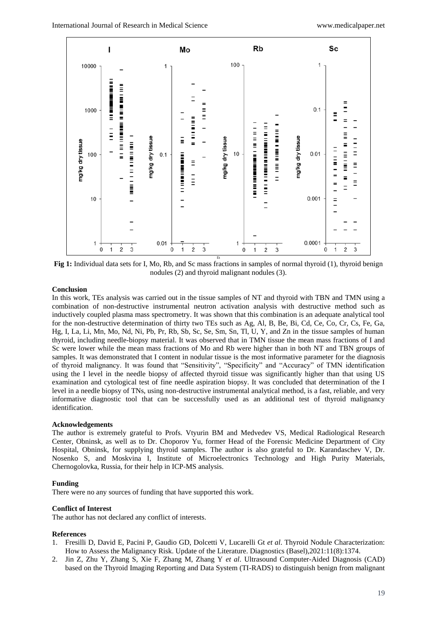

**Fig 1:** Individual data sets for I, Mo, Rb, and Sc mass fractions in samples of normal thyroid (1), thyroid benign nodules (2) and thyroid malignant nodules (3).

# **Conclusion**

In this work, TEs analysis was carried out in the tissue samples of NT and thyroid with TBN and TMN using a combination of non-destructive instrumental neutron activation analysis with destructive method such as inductively coupled plasma mass spectrometry. It was shown that this combination is an adequate analytical tool for the non-destructive determination of thirty two TEs such as Ag, Al, B, Be, Bi, Cd, Ce, Co, Cr, Cs, Fe, Ga, Hg, I, La, Li, Mn, Mo, Nd, Ni, Pb, Pr, Rb, Sb, Sc, Se, Sm, Sn, Tl, U, Y, and Zn in the tissue samples of human thyroid, including needle-biopsy material. It was observed that in TMN tissue the mean mass fractions of I and Sc were lower while the mean mass fractions of Mo and Rb were higher than in both NT and TBN groups of samples. It was demonstrated that I content in nodular tissue is the most informative parameter for the diagnosis of thyroid malignancy. It was found that "Sensitivity", "Specificity" and "Accuracy" of TMN identification using the I level in the needle biopsy of affected thyroid tissue was significantly higher than that using US examination and cytological test of fine needle aspiration biopsy. It was concluded that determination of the I level in a needle biopsy of TNs, using non-destructive instrumental analytical method, is a fast, reliable, and very informative diagnostic tool that can be successfully used as an additional test of thyroid malignancy identification.

#### **Acknowledgements**

The author is extremely grateful to Profs. Vtyurin BM and Medvedev VS, Medical Radiological Research Center, Obninsk, as well as to Dr. Choporov Yu, former Head of the Forensic Medicine Department of City Hospital, Obninsk, for supplying thyroid samples. The author is also grateful to Dr. Karandaschev V, Dr. Nosenko S, and Moskvina I, Institute of Microelectronics Technology and High Purity Materials, Chernogolovka, Russia, for their help in ICP-MS analysis.

#### **Funding**

There were no any sources of funding that have supported this work.

#### **Conflict of Interest**

The author has not declared any conflict of interests.

#### **References**

- 1. Fresilli D, David E, Pacini P, Gaudio GD, Dolcetti V, Lucarelli Gt *et al*. Thyroid Nodule Characterization: How to Assess the Malignancy Risk. Update of the Literature. Diagnostics (Basel),2021:11(8):1374.
- 2. Jin Z, Zhu Y, Zhang S, Xie F, Zhang M, Zhang Y *et al*. Ultrasound Computer-Aided Diagnosis (CAD) based on the Thyroid Imaging Reporting and Data System (TI-RADS) to distinguish benign from malignant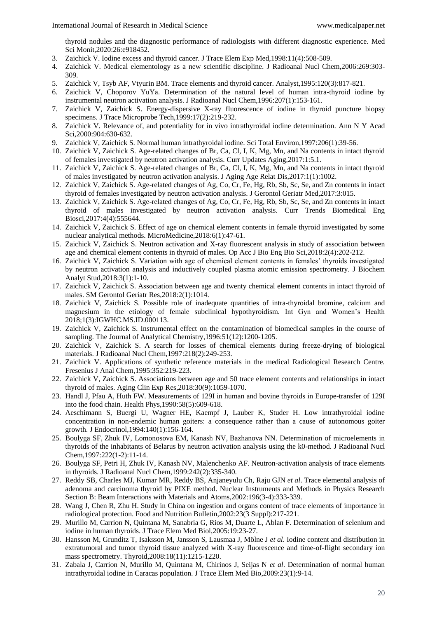thyroid nodules and the diagnostic performance of radiologists with different diagnostic experience. Med Sci Monit,2020:26:e918452.

- 3. Zaichick V. Iodine excess and thyroid cancer. J Trace Elem Exp Med,1998:11(4):508-509.
- 4. Zaichick V. Medical elementology as a new scientific discipline. J Radioanal Nucl Chem,2006:269:303- 309.
- 5. Zaichick V, Tsyb AF, Vtyurin BM. Trace elements and thyroid cancer. Analyst,1995:120(3):817-821.
- 6. Zaichick V, Choporov YuYa. Determination of the natural level of human intra-thyroid iodine by instrumental neutron activation analysis. J Radioanal Nucl Chem,1996:207(1):153-161.
- 7. Zaichick V, Zaichick S. Energy-dispersive X-ray fluorescence of iodine in thyroid puncture biopsy specimens. J Trace Microprobe Tech,1999:17(2):219-232.
- 8. Zaichick V. Relevance of, and potentiality for in vivo intrathyroidal iodine determination. Ann N Y Acad Sci,2000:904:630-632.
- 9. Zaichick V, Zaichick S. Normal human intrathyroidal iodine. Sci Total Environ,1997:206(1):39-56.
- 10. Zaichick V, Zaichick S. Age-related changes of Br, Ca, Cl, I, K, Mg, Mn, and Na contents in intact thyroid of females investigated by neutron activation analysis. Curr Updates Aging,2017:1:5.1.
- 11. Zaichick V, Zaichick S. Age-related changes of Br, Ca, Cl, I, K, Mg, Mn, and Na contents in intact thyroid of males investigated by neutron activation analysis. J Aging Age Relat Dis,2017:1(1):1002.
- 12. Zaichick V, Zaichick S. Age-related changes of Ag, Co, Cr, Fe, Hg, Rb, Sb, Sc, Se, and Zn contents in intact thyroid of females investigated by neutron activation analysis. J Gerontol Geriatr Med,2017:3:015.
- 13. Zaichick V, Zaichick S. Age-related changes of Ag, Co, Cr, Fe, Hg, Rb, Sb, Sc, Se, and Zn contents in intact thyroid of males investigated by neutron activation analysis. Curr Trends Biomedical Eng Biosci,2017:4(4):555644.
- 14. Zaichick V, Zaichick S. Effect of age on chemical element contents in female thyroid investigated by some nuclear analytical methods. MicroMedicine,2018:6(1):47-61.
- 15. Zaichick V, Zaichick S. Neutron activation and X-ray fluorescent analysis in study of association between age and chemical element contents in thyroid of males. Op Acc J Bio Eng Bio Sci,2018:2(4):202-212.
- 16. Zaichick V, Zaichick S. Variation with age of chemical element contents in females' thyroids investigated by neutron activation analysis and inductively coupled plasma atomic emission spectrometry. J Biochem Analyt Stud,2018:3(1):1-10.
- 17. Zaichick V, Zaichick S. Association between age and twenty chemical element contents in intact thyroid of males. SM Gerontol Geriatr Res,2018:2(1):1014.
- 18. Zaichick V, Zaichick S. Possible role of inadequate quantities of intra-thyroidal bromine, calcium and magnesium in the etiology of female subclinical hypothyroidism. Int Gyn and Women's Health 2018;1(3):IGWHC.MS.ID.000113.
- 19. Zaichick V, Zaichick S. Instrumental effect on the contamination of biomedical samples in the course of sampling. The Journal of Analytical Chemistry,1996:51(12):1200-1205.
- 20. Zaichick V, Zaichick S. A search for losses of chemical elements during freeze-drying of biological materials. J Radioanal Nucl Chem,1997:218(2):249-253.
- 21. Zaichick V. Applications of synthetic reference materials in the medical Radiological Research Centre. Fresenius J Anal Chem,1995:352:219-223.
- 22. Zaichick V, Zaichick S. Associations between age and 50 trace element contents and relationships in intact thyroid of males. Aging Clin Exp Res,2018:30(9):1059-1070.
- 23. Handl J, Pfau A, Huth FW. Measurements of 129I in human and bovine thyroids in Europe-transfer of 129I into the food chain. Health Phys,1990:58(5):609-618.
- 24. Aeschimann S, Buergi U, Wagner HE, Kaempf J, Lauber K, Studer H. Low intrathyroidal iodine concentration in non-endemic human goiters: a consequence rather than a cause of autonomous goiter growth. J Endocrinol,1994:140(1):156-164.
- 25. Boulyga SF, Zhuk IV, Lomonosova EM, Kanash NV, Bazhanova NN. Determination of microelements in thyroids of the inhabitants of Belarus by neutron activation analysis using the k0-method. J Radioanal Nucl Chem,1997:222(1-2):11-14.
- 26. Boulyga SF, Petri H, Zhuk IV, Kanash NV, Malenchenko AF. Neutron-activation analysis of trace elements in thyroids. J Radioanal Nucl Chem,1999:242(2):335-340.
- 27. Reddy SB, Charles MJ, Kumar MR, Reddy BS, Anjaneyulu Ch, Raju GJN *et al*. Trace elemental analysis of adenoma and carcinoma thyroid by PIXE method. Nuclear Instruments and Methods in Physics Research Section B: Beam Interactions with Materials and Atoms,2002:196(3-4):333-339.
- 28. Wang J, Chen R, Zhu H. Study in China on ingestion and organs content of trace elements of importance in radiological protection. Food and Nutrition Bulletin,2002:23(3 Suppl):217-221.
- 29. Murillo M, Carrion N, Quintana M, Sanabria G, Rios M, Duarte L, Ablan F. Determination of selenium and iodine in human thyroids. J Trace Elem Med Biol,2005:19:23-27.
- 30. Hansson M, Grunditz T, Isaksson M, Jansson S, Lausmaa J, Mölne J *et al*. Iodine content and distribution in extratumoral and tumor thyroid tissue analyzed with X-ray fluorescence and time-of-flight secondary ion mass spectrometry. Thyroid,2008:18(11):1215-1220.
- 31. Zabala J, Carrion N, Murillo M, Quintana M, Chirinos J, Seijas N *et al*. Determination of normal human intrathyroidal iodine in Caracas population. J Trace Elem Med Bio,2009:23(1):9-14.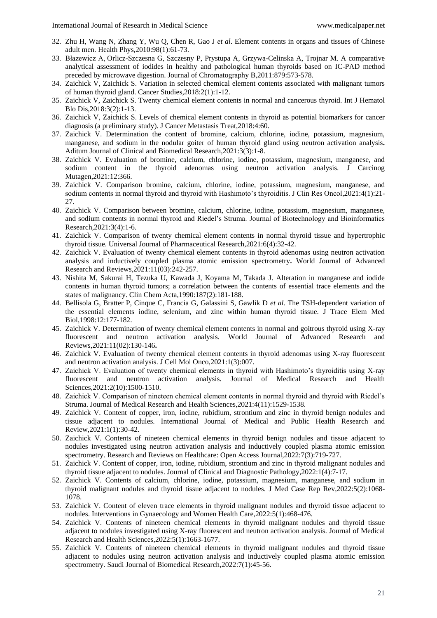- 32. Zhu H, Wang N, Zhang Y, Wu Q, Chen R, Gao J *et al*. Element contents in organs and tissues of Chinese adult men. Health Phys,2010:98(1):61-73.
- 33. Błazewicz A, Orlicz-Szczesna G, Szczesny P, Prystupa A, Grzywa-Celinska A, Trojnar M. A comparative analytical assessment of iodides in healthy and pathological human thyroids based on IC-PAD method preceded by microwave digestion. Journal of Chromatography B,2011:879:573-578.
- 34. Zaichick V, Zaichick S. Variation in selected chemical element contents associated with malignant tumors of human thyroid gland. Cancer Studies,2018:2(1):1-12.
- 35. Zaichick V, Zaichick S. Twenty chemical element contents in normal and cancerous thyroid. Int J Hematol Blo Dis,2018:3(2):1-13.
- 36. Zaichick V, Zaichick S. Levels of chemical element contents in thyroid as potential biomarkers for cancer diagnosis (a preliminary study). J Cancer Metastasis Treat,2018:4:60.
- 37. Zaichick V. Determination the content of bromine, calcium, chlorine, iodine, potassium, magnesium, manganese, and sodium in the nodular goiter of human thyroid gland using neutron activation analysis**.**  Aditum Journal of Clinical and Biomedical Research,2021:3(3):1-8.
- 38. Zaichick V. Evaluation of bromine, calcium, chlorine, iodine, potassium, magnesium, manganese, and sodium content in the thyroid adenomas using neutron activation analysis. J Carcinog Mutagen,2021:12:366.
- 39. Zaichick V. Comparison bromine, calcium, chlorine, iodine, potassium, magnesium, manganese, and sodium contents in normal thyroid and thyroid with Hashimoto's thyroiditis. J Clin Res Oncol,2021:4(1):21- 27.
- 40. Zaichick V. Comparison between bromine, calcium, chlorine, iodine, potassium, magnesium, manganese, and sodium contents in normal thyroid and Riedel's Struma. Journal of Biotechnology and Bioinformatics Research,2021:3(4):1-6.
- 41. Zaichick V. Comparison of twenty chemical element contents in normal thyroid tissue and hypertrophic thyroid tissue. Universal Journal of Pharmaceutical Research,2021:6(4):32-42.
- 42. Zaichick V. Evaluation of twenty chemical element contents in thyroid adenomas using neutron activation analysis and inductively coupled plasma atomic emission spectrometry**.** World Journal of Advanced Research and Reviews,2021:11(03):242-257.
- 43. Nishita M, Sakurai H, Tezuka U, Kawada J, Koyama M, Takada J. Alteration in manganese and iodide contents in human thyroid tumors; a correlation between the contents of essential trace elements and the states of malignancy. Clin Chem Acta,1990:187(2):181-188.
- 44. Bellisola G, Bratter P, Cinque C, Francia G, Galassini S, Gawlik D *et al*. The TSH-dependent variation of the essential elements iodine, selenium, and zinc within human thyroid tissue. J Trace Elem Med Biol,1998:12:177-182.
- 45. Zaichick V. Determination of twenty chemical element contents in normal and goitrous thyroid using X-ray fluorescent and neutron activation analysis. World Journal of Advanced Research and Reviews,2021:11(02):130-146**.**
- 46. Zaichick V. Evaluation of twenty chemical element contents in thyroid adenomas using X-ray fluorescent and neutron activation analysis. J Cell Mol Onco,2021:1(3):007.
- 47. Zaichick V. Evaluation of twenty chemical elements in thyroid with Hashimoto's thyroiditis using X-ray fluorescent and neutron activation analysis. Journal of Medical Research and Health Sciences,2021:2(10):1500-1510.
- 48. Zaichick V. Comparison of nineteen chemical element contents in normal thyroid and thyroid with Riedel's Struma. Journal of Medical Research and Health Sciences,2021:4(11):1529-1538.
- 49. Zaichick V. Content of copper, iron, iodine, rubidium, strontium and zinc in thyroid benign nodules and tissue adjacent to nodules. International Journal of Medical and Public Health Research and Review,2021:1(1):30-42.
- 50. Zaichick V. Contents of nineteen chemical elements in thyroid benign nodules and tissue adjacent to nodules investigated using neutron activation analysis and inductively coupled plasma atomic emission spectrometry. Research and Reviews on Healthcare: Open Access Journal,2022:7(3):719-727.
- 51. Zaichick V. Content of copper, iron, iodine, rubidium, strontium and zinc in thyroid malignant nodules and thyroid tissue adjacent to nodules. Journal of Clinical and Diagnostic Pathology,2022:1(4):7-17.
- 52. Zaichick V. Contents of calcium, chlorine, iodine, potassium, magnesium, manganese, and sodium in thyroid malignant nodules and thyroid tissue adjacent to nodules. J Med Case Rep Rev,2022:5(2):1068- 1078.
- 53. Zaichick V. Content of eleven trace elements in thyroid malignant nodules and thyroid tissue adjacent to nodules. Interventions in Gynaecology and Women Health Care,2022:5(1):468-476.
- 54. Zaichick V. Contents of nineteen chemical elements in thyroid malignant nodules and thyroid tissue adjacent to nodules investigated using X-ray fluorescent and neutron activation analysis. Journal of Medical Research and Health Sciences,2022:5(1):1663-1677.
- 55. Zaichick V. Contents of nineteen chemical elements in thyroid malignant nodules and thyroid tissue adjacent to nodules using neutron activation analysis and inductively coupled plasma atomic emission spectrometry. Saudi Journal of Biomedical Research,2022:7(1):45-56.